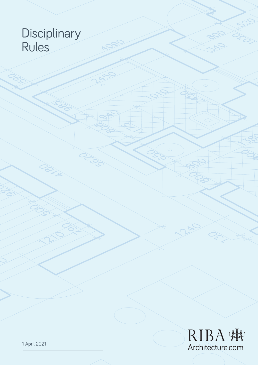## **Disciplinary** Rules

OBILE

**CONTROL** 

NACI

 $\mathcal{Z}$ 

 $\gtrless$ 

PASS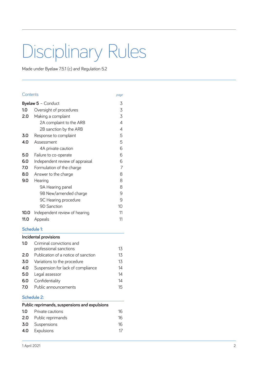# Disciplinary Rules

Made under Byelaw 7.5.1 (c) and Regulation 5.2

#### Contents *page*

| <b>Byelaw 5 - Conduct</b> |                                 | 3  |
|---------------------------|---------------------------------|----|
| 1.0                       | Oversight of procedures         | 3  |
| 2.0                       | Making a complaint              | 3  |
|                           | 2A complaint to the ARB         | 4  |
|                           | 2B sanction by the ARB          | 4  |
| 3.0                       | Response to complaint           | 5  |
| 4.0                       | Assessment                      | 5  |
|                           | 4A private caution              | 6  |
| 5.0                       | Failure to co-operate           | 6  |
| 6.0                       | Independent review of appraisal | 6  |
| 7.0                       | Formulation of the charge       | 7  |
| 8.0                       | Answer to the charge            | 8  |
| 9.0                       | Hearing                         | 8  |
|                           | 9A Hearing panel                | 8  |
|                           | 9B New/amended charge           | 9  |
|                           | 9C Hearing procedure            | 9  |
|                           | <b>9D Sanction</b>              | 10 |
| 10.0                      | Independent review of hearing   | 11 |
| <b>11.0</b>               | Appeals                         | 11 |

#### **Schedule 1:**

#### **Incidental provisions**

| 1.0 | Criminal convictions and            |    |
|-----|-------------------------------------|----|
|     | professional sanctions              | 13 |
| 2.0 | Publication of a notice of sanction | 13 |
| 3.0 | Variations to the procedure         | 13 |
| 4.0 | Suspension for lack of compliance   | 14 |
| 5.0 | Legal assessor                      | 14 |
| 6.0 | Confidentiality                     | 14 |
| 7.0 | Public announcements                | 15 |

#### **Schedule 2:**

|     | Public reprimands, suspensions and expulsions |    |
|-----|-----------------------------------------------|----|
| 1.0 | Private cautions                              | 16 |

| <b>2.0</b> Public reprimands | 16 |
|------------------------------|----|
| <b>3.0</b> Suspensions       | 16 |
| <b>4.0</b> Expulsions        | 17 |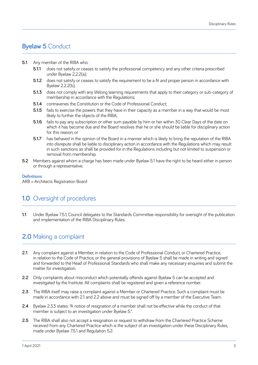## **Byelaw 5** Conduct

- **5.1** Any member of the RIBA who:
	- **5.1.1** does not satisfy or ceases to satisfy the professional competency and any other criteria prescribed under Byelaw 2.2.2(a);
	- **5.1.2** does not satisfy or ceases to satisfy the requirement to be a fit and proper person in accordance with Byelaw 2.2.2(b);
	- **5.1.3** does not comply with any lifelong learning requirements that apply to their category or sub-category of membership in accordance with the Regulations;
	- **5.1.4 contravenes the Constitution or the Code of Professional Conduct:**
	- **5.1.5** fails to exercise the powers that they have in their capacity as a member in a way that would be most likely to further the objects of the RIBA;
	- **5.1.6** fails to pay any subscription or other sum payable by him or her within 30 Clear Days of the date on which it has become due and the Board resolves that he or she should be liable for disciplinary action for this reason; or
	- **5.1.7** has behaved in the opinion of the Board in a manner which is likely to bring the reputation of the RIBA into disrepute shall be liable to disciplinary action in accordance with the Regulations which may result in such sanctions as shall be provided for in the Regulations including but not limited to suspension or removal from membership.
- **5.2** Members against whom a charge has been made under Byelaw 5.1 have the right to be heard either in person or through a representative.

#### **Definitions**

ARB = Architects Registration Board

## **1.0** Oversight of procedures

**1.1** Under Byelaw 7.5.1, Council delegates to the Standards Committee responsibility for oversight of the publication and implementation of the RIBA Disciplinary Rules.

## **2.0** Making a complaint

- **2.1** Any complaint against a Member, in relation to the Code of Professional Conduct, or Chartered Practice, in relation to the Code of Practice, or the general provisions of Byelaw 5 shall be made in writing and signed and forwarded to the Head of Professional Standards who shall make any necessary enquiries and submit the matter for investigation.
- **2.2** Only complaints about misconduct which potentially offends against Byelaw 5 can be accepted and investigated by the Institute. All complaints shall be registered and given a reference number.
- **2.3** The RIBA itself may raise a complaint against a Member or Chartered Practice. Such a complaint must be made in accordance with 2.1 and 2.2 above and must be signed off by a member of the Executive Team.
- **2.4** Byelaw 2.3.3 states: "A notice of resignation of a member shall not be effective while the conduct of that member is subject to an investigation under Byelaw 5.".
- **2.5** The RIBA shall also not accept a resignation or request to withdraw from the Chartered Practice Scheme received from any Chartered Practice which is the subject of an investigation under these Disciplinary Rules, made under Byelaw 7.5.1 and Regulation 5.2.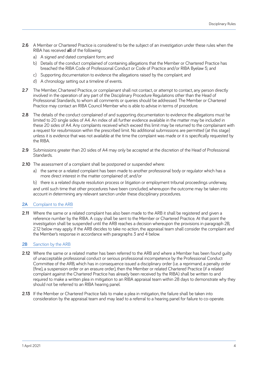- **2.6** A Member or Chartered Practice is considered to be the subject of an investigation under these rules when the RIBA has received **all** of the following:
	- a) A signed and dated complaint form; and
	- b) Details of the conduct complained of containing allegations that the Member or Chartered Practice has breached the RIBA Code of Professional Conduct or Code of Practice and/or RIBA Byelaw 5; and
	- c) Supporting documentation to evidence the allegations raised by the complaint; and
	- d) A chronology setting out a timeline of events.
- **2.7** The Member, Chartered Practice, or complainant shall not contact, or attempt to contact, any person directly involved in the operation of any part of the Disciplinary Procedure Regulations other than the Head of Professional Standards, to whom all comments or queries should be addressed. The Member or Chartered Practice may contact an RIBA Council Member who is able to advise in terms of procedure.
- **2.8** The details of the conduct complained of and supporting documentation to evidence the allegations must be limited to 20 single sides of A4. An index of all further evidence available in the matter may be included in these 20 sides of A4. Any complaints received which exceed this limit may be returned to the complainant with a request for resubmission within the prescribed limit. No additional submissions are permitted (at this stage) unless it is evidence that was not available at the time the complaint was made or it is specifically requested by the RIBA.
- **2.9** Submissions greater than 20 sides of A4 may only be accepted at the discretion of the Head of Professional Standards.
- **2.10** The assessment of a complaint shall be postponed or suspended where:
	- a) the same or a related complaint has been made to another professional body or regulator which has a more direct interest in the matter complained of; and/or
	- b) there is a related dispute resolution process or litigation or employment tribunal proceedings underway,

and until such time that other procedures have been concluded, whereupon the outcome may be taken into account in determining any relevant sanction under these disciplinary procedures.

#### **2A** Complaint to the ARB

**2.11** Where the same or a related complaint has also been made to the ARB it shall be registered and given a reference number by the RIBA. A copy shall be sent to the Member or Chartered Practice. At that point the investigation shall be suspended until the ARB reaches a decision whereupon the provisions in paragraph 2B, 2.12 below may apply. If the ARB decides to take no action, the appraisal team shall consider the complaint and the Member's response in accordance with paragraphs 3 and 4 below.

#### **2B** Sanction by the ARB

- **2.12** Where the same or a related matter has been referred to the ARB and where a Member has been found guilty of unacceptable professional conduct or serious professional incompetence by the Professional Conduct Committee of the ARB, which has in consequence issued a disciplinary order (i.e. a reprimand, a penalty order (fine), a suspension order or an erasure order), then the Member or related Chartered Practice (if a related complaint against the Chartered Practice has already been received by the RIBA) shall be written to and required to make a written plea in mitigation to an RIBA appraisal team within 28 days to demonstrate why they should not be referred to an RIBA hearing panel.
- **2.13** If the Member or Chartered Practice fails to make a plea in mitigation, the failure shall be taken into consideration by the appraisal team and may lead to a referral to a hearing panel for failure to co-operate.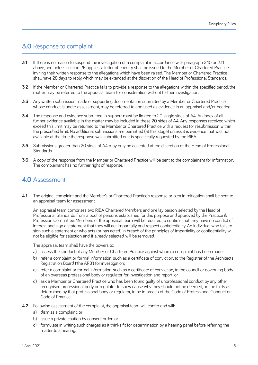## **3.0** Response to complaint

- **3.1** If there is no reason to suspend the investigation of a complaint in accordance with paragraph 2.10 or 2.11 above, and unless section 2B applies, a letter of enquiry shall be issued to the Member or Chartered Practice, inviting their written response to the allegations which have been raised. The Member or Chartered Practice shall have 28 days to reply, which may be extended at the discretion of the Head of Professional Standards.
- **3.2** If the Member or Chartered Practice fails to provide a response to the allegations within the specified period, the matter may be referred to the appraisal team for consideration without further investigation.
- **3.3** Any written submission made or supporting documentation submitted by a Member or Chartered Practice, whose conduct is under assessment, may be referred to and used as evidence in an appraisal and/or hearing.
- **3.4** The response and evidence submitted in support must be limited to 20 single sides of A4. An index of all further evidence available in the matter may be included in these 20 sides of A4. Any responses received which exceed this limit may be returned to the Member or Chartered Practice with a request for resubmission within the prescribed limit. No additional submissions are permitted (at this stage) unless it is evidence that was not available at the time the response was submitted or it is specifically requested by the RIBA.
- **3.5** Submissions greater than 20 sides of A4 may only be accepted at the discretion of the Head of Professional Standards.
- **3.6** A copy of the response from the Member or Chartered Practice will be sent to the complainant for information. The complainant has no further right of response.

### **4.0** Assessment

**4.1** The original complaint and the Member's or Chartered Practice's response or plea in mitigation shall be sent to an appraisal team for assessment.

An appraisal team comprises two RIBA Chartered Members and one lay person, selected by the Head of Professional Standards from a pool of persons established for this purpose and approved by the Practice & Profession Committee. Members of the appraisal team will be required to confirm that they have no conflict of interest and sign a statement that they will act impartially and respect confidentiality. An individual who fails to sign such a statement or who acts (or has acted) in breach of the principles of impartiality or confidentiality will not be eligible for selection and, if already selected, will be removed.

The appraisal team shall have the powers to:

- a) assess the conduct of any Member or Chartered Practice against whom a complaint has been made;
- b) refer a complaint or formal information, such as a certificate of conviction, to the Registrar of the Architects Registration Board ('the ARB') for investigation;
- c) refer a complaint or formal information, such as a certificate of conviction, to the council or governing body of an overseas professional body or regulator for investigation and report; or
- d) ask a Member or Chartered Practice who has been found guilty of unprofessional conduct by any other recognised professional body or regulator to show cause why they should not be deemed, on the facts as determined by that professional body or regulator, to be in breach of the Code of Professional Conduct or Code of Practice.
- **4.2** Following assessment of the complaint, the appraisal team will confer and will:
	- a) dismiss a complaint; or
	- b) issue a private caution by consent order; or
	- c) formulate in writing such charges as it thinks fit for determination by a hearing panel before referring the matter to a hearing.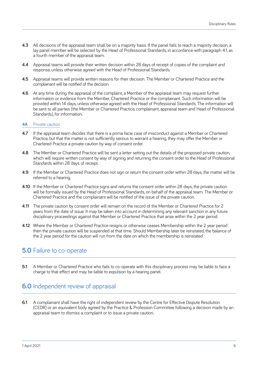- **4.3** All decisions of the appraisal team shall be on a majority basis. If the panel fails to reach a majority decision, a lay panel member will be selected by the Head of Professional Standards, in accordance with paragraph 4.1, as a fourth member of the appraisal team.
- **4.4** Appraisal teams will provide their written decision within 28 days of receipt of copies of the complaint and response, unless otherwise agreed with the Head of Professional Standards.
- **4.5** Appraisal teams will provide written reasons for their decision. The Member or Chartered Practice and the complainant will be notified of the decision.
- **4.6** At any time during the appraisal of the complaint, a Member of the appraisal team may request further information or evidence from the Member, Chartered Practice or the complainant. Such information will be provided within 14 days, unless otherwise agreed with the Head of Professional Standards. The information will be sent to all parties (the Member or Chartered Practice, complainant, appraisal team and Head of Professional Standards), for information.

#### **4A** Private caution

- **4.7** If the appraisal team decides that there is a prima facie case of misconduct against a Member or Chartered Practice, but that the matter is not sufficiently serious to warrant a hearing, they may offer the Member or Chartered Practice a private caution by way of consent order.
- **4.8** The Member or Chartered Practice will be sent a letter setting out the details of the proposed private caution, which will require written consent by way of signing and returning the consent order to the Head of Professional Standards within 28 days of receipt.
- **4.9** If the Member or Chartered Practice does not sign or return the consent order within 28 days, the matter will be referred to a hearing.
- **4.10** If the Member or Chartered Practice signs and returns the consent order within 28 days, the private caution will be formally issued by the Head of Professional Standards, on behalf of the appraisal team. The Member or Chartered Practice and the complainant will be notified of the issue of the private caution.
- **4.11** The private caution by consent order will remain on the record of the Member or Chartered Practice for 2 years from the date of issue. It may be taken into account in determining any relevant sanction in any future disciplinary proceedings against that Member or Chartered Practice that arise within the 2 year period.
- **4.12** Where the Member or Chartered Practice resigns or otherwise ceases Membership within the 2 year period then the private caution will be suspended at that time. Should Membership later be reinstated, the balance of the 2 year period for the caution will run from the date on which the membership is reinstated.

### **5.0** Failure to co-operate

**5.1** A Member or Chartered Practice who fails to co-operate with this disciplinary process may be liable to face a charge to that effect and may be liable to expulsion by a hearing panel.

## **6.0** Independent review of appraisal

**6.1** A complainant shall have the right of independent review by the Centre for Effective Dispute Resolution (CEDR) or an equivalent body agreed by the Practice & Profession Committee following a decision made by an appraisal team to dismiss a complaint or to issue a private caution.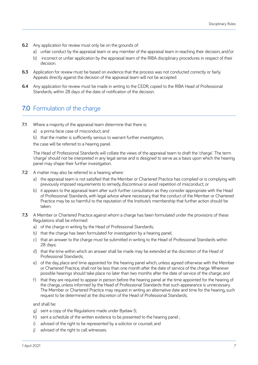- **6.2** Any application for review must only be on the grounds of:
	- a) unfair conduct by the appraisal team or any member of the appraisal team in reaching their decision; and/or
	- b) incorrect or unfair application by the appraisal team of the RIBA disciplinary procedures in respect of their decision.
- **6.3** Application for review must be based on evidence that the process was not conducted correctly or fairly. Appeals directly against the decision of the appraisal team will not be accepted.
- **6.4** Any application for review must be made in writing to the CEDR, copied to the RIBA Head of Professional Standards, within 28 days of the date of notification of the decision.

## **7.0** Formulation of the charge

- **7.1** Where a majority of the appraisal team determine that there is:
	- a) a prima facie case of misconduct; and
	- b) that the matter is sufficiently serious to warrant further investigation,

the case will be referred to a hearing panel.

The Head of Professional Standards will collate the views of the appraisal team to draft the 'charge'. The term 'charge' should not be interpreted in any legal sense and is designed to serve as a basis upon which the hearing panel may shape their further investigation.

- **7.2** A matter may also be referred to a hearing where:
	- a) the appraisal team is not satisfied that the Member or Chartered Practice has complied or is complying with previously imposed requirements to remedy, discontinue or avoid repetition of misconduct; or
	- b) it appears to the appraisal team after such further consultation as they consider appropriate with the Head of Professional Standards, with legal advice where necessary, that the conduct of the Member or Chartered Practice may be so harmful to the reputation of the Institute's membership that further action should be taken.
- **7.3** A Member or Chartered Practice against whom a charge has been formulated under the provisions of these Regulations shall be informed:
	- a) of the charge in writing by the Head of Professional Standards;
	- b) that the charge has been formulated for investigation by a hearing panel;
	- c) that an answer to the charge must be submitted in writing to the Head of Professional Standards within 28 days;
	- d) that the time within which an answer shall be made may be extended at the discretion of the Head of Professional Standards;
	- e) of the day, place and time appointed for the hearing panel which, unless agreed otherwise with the Member or Chartered Practice, shall not be less than one month after the date of service of the charge. Wherever possible hearings should take place no later than two months after the date of service of the charge; and
	- f) that they are required to appear in person before the hearing panel at the time appointed for the hearing of the charge, unless informed by the Head of Professional Standards that such appearance is unnecessary. The Member or Chartered Practice may request in writing an alternative date and time for the hearing, such request to be determined at the discretion of the Head of Professional Standards;

and shall be:

- g) sent a copy of the Regulations made under Byelaw 5;
- h) sent a schedule of the written evidence to be presented to the hearing panel ;
- i) advised of the right to be represented by a solicitor or counsel; and
- j) advised of the right to call witnesses.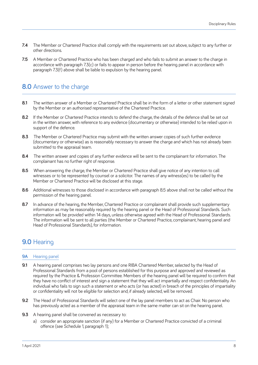- **7.4** The Member or Chartered Practice shall comply with the requirements set out above, subject to any further or other directions.
- **7.5** A Member or Chartered Practice who has been charged and who fails to submit an answer to the charge in accordance with paragraph 7.3(c) or fails to appear in person before the hearing panel in accordance with paragraph 7.3(f) above shall be liable to expulsion by the hearing panel.

## **8.0** Answer to the charge

- **8.1** The written answer of a Member or Chartered Practice shall be in the form of a letter or other statement signed by the Member or an authorised representative of the Chartered Practice.
- **8.2** If the Member or Chartered Practice intends to defend the charge, the details of the defence shall be set out in the written answer, with reference to any evidence (documentary or otherwise) intended to be relied upon in support of the defence.
- **8.3** The Member or Chartered Practice may submit with the written answer copies of such further evidence (documentary or otherwise) as is reasonably necessary to answer the charge and which has not already been submitted to the appraisal team.
- **8.4** The written answer and copies of any further evidence will be sent to the complainant for information. The complainant has no further right of response.
- **8.5** When answering the charge, the Member or Chartered Practice shall give notice of any intention to call witnesses or to be represented by counsel or a solicitor. The names of any witness(es) to be called by the Member or Chartered Practice will be disclosed at this stage.
- **8.6** Additional witnesses to those disclosed in accordance with paragraph 8.5 above shall not be called without the permission of the hearing panel.
- **8.7** In advance of the hearing, the Member, Chartered Practice or complainant shall provide such supplementary information as may be reasonably required by the hearing panel or the Head of Professional Standards. Such information will be provided within 14 days, unless otherwise agreed with the Head of Professional Standards. The information will be sent to all parties (the Member or Chartered Practice, complainant, hearing panel and Head of Professional Standards), for information.

## **9.0** Hearing

#### **9A** Hearing panel

- **9.1** A hearing panel comprises two lay persons and one RIBA Chartered Member, selected by the Head of Professional Standards from a pool of persons established for this purpose and approved and reviewed as required by the Practice & Profession Committee. Members of the hearing panel will be required to confirm that they have no conflict of interest and sign a statement that they will act impartially and respect confidentiality. An individual who fails to sign such a statement or who acts (or has acted) in breach of the principles of impartiality or confidentiality will not be eligible for selection and, if already selected, will be removed.
- **9.2** The Head of Professional Standards will select one of the lay panel members to act as Chair. No person who has previously acted as a member of the appraisal team in the same matter can sit on the hearing panel.
- **9.3** A hearing panel shall be convened as necessary to:
	- a) consider an appropriate sanction (if any) for a Member or Chartered Practice convicted of a criminal offence (see Schedule 1, paragraph 1);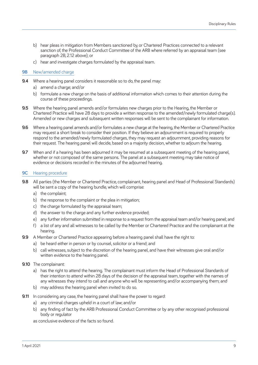- b) hear pleas in mitigation from Members sanctioned by, or Chartered Practices connected to a relevant sanction of, the Professional Conduct Committee of the ARB where referred by an appraisal team (see paragraph 2B, 2.12 above); or
- c) hear and investigate charges formulated by the appraisal team.

#### **9B** New/amended charge

- **9.4** Where a hearing panel considers it reasonable so to do, the panel may:
	- a) amend a charge; and/or
	- b) formulate a new charge on the basis of additional information which comes to their attention during the course of these proceedings.
- **9.5** Where the hearing panel amends and/or formulates new charges prior to the Hearing, the Member or Chartered Practice will have 28 days to provide a written response to the amended/newly formulated charge(s). Amended or new charges and subsequent written responses will be sent to the complainant for information.
- **9.6** Where a hearing panel amends and/or formulates a new charge at the hearing, the Member or Chartered Practice may request a short break to consider their position. If they believe an adjournment is required to properly respond to the amended/newly formulated charges, they may request an adjournment, providing reasons for their request. The hearing panel will decide, based on a majority decision, whether to adjourn the hearing.
- **9.7** When and if a hearing has been adjourned it may be resumed at a subsequent meeting of the hearing panel, whether or not composed of the same persons. The panel at a subsequent meeting may take notice of evidence or decisions recorded in the minutes of the adjourned hearing.

#### **9C** Hearing procedure

- **9.8** All parties (the Member or Chartered Practice, complainant, hearing panel and Head of Professional Standards) will be sent a copy of the hearing bundle, which will comprise:
	- a) the complaint;
	- b) the response to the complaint or the plea in mitigation;
	- c) the charge formulated by the appraisal team;
	- d) the answer to the charge and any further evidence provided;
	- e) any further information submitted in response to a request from the appraisal team and/or hearing panel; and
	- f) a list of any and all witnesses to be called by the Member or Chartered Practice and the complainant at the hearing.
- **9.9** A Member or Chartered Practice appearing before a hearing panel shall have the right to:
	- a) be heard either in person or by counsel, solicitor or a friend; and
	- b) call witnesses, subject to the discretion of the hearing panel, and have their witnesses give oral and/or written evidence to the hearing panel.
- **9.10** The complainant:
	- a) has the right to attend the hearing. The complainant must inform the Head of Professional Standards of their intention to attend within 28 days of the decision of the appraisal team, together with the names of any witnesses they intend to call and anyone who will be representing and/or accompanying them; and
	- b) may address the hearing panel when invited to do so.
- **9.11** In considering any case, the hearing panel shall have the power to regard:
	- a) any criminal charges upheld in a court of law; and/or
	- b) any finding of fact by the ARB Professional Conduct Committee or by any other recognised professional body or regulator

as conclusive evidence of the facts so found.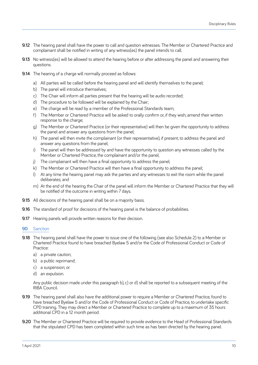- **9.12** The hearing panel shall have the power to call and question witnesses. The Member or Chartered Practice and complainant shall be notified in writing of any witness(es) the panel intends to call.
- **9.13** No witness(es) will be allowed to attend the hearing before or after addressing the panel and answering their questions.
- **9.14** The hearing of a charge will normally proceed as follows:
	- a) All parties will be called before the hearing panel and will identify themselves to the panel;
	- b) The panel will introduce themselves;
	- c) The Chair will inform all parties present that the hearing will be audio recorded;
	- d) The procedure to be followed will be explained by the Chair;
	- e) The charge will be read by a member of the Professional Standards team;
	- f) The Member or Chartered Practice will be asked to orally confirm or, if they wish, amend their written response to the charge;
	- g) The Member or Chartered Practice (or their representative) will then be given the opportunity to address the panel and answer any questions from the panel;
	- h) The panel will then invite the complainant (or their representative), if present, to address the panel and answer any questions from the panel;
	- i) The panel will then be addressed by and have the opportunity to question any witnesses called by the Member or Chartered Practice, the complainant and/or the panel;
	- j) The complainant will then have a final opportunity to address the panel;
	- k) The Member or Chartered Practice will then have a final opportunity to address the panel;
	- l) At any time the hearing panel may ask the parties and any witnesses to exit the room while the panel deliberates; and
	- m) At the end of the hearing the Chair of the panel will inform the Member or Chartered Practice that they will be notified of the outcome in writing within 7 days.
- **9.15** All decisions of the hearing panel shall be on a majority basis.
- **9.16** The standard of proof for decisions of the hearing panel is the balance of probabilities.
- **9.17** Hearing panels will provide written reasons for their decision.
- **9D** Sanction
- **9.18** The hearing panel shall have the power to issue one of the following (see also Schedule 2) to a Member or Chartered Practice found to have breached Byelaw 5 and/or the Code of Professional Conduct or Code of Practice:
	- a) a private caution;
	- b) a public reprimand;
	- c) a suspension; or
	- d) an expulsion.

Any public decision made under this paragraph b), c) or d) shall be reported to a subsequent meeting of the RIBA Council.

- **9.19** The hearing panel shall also have the additional power to require a Member or Chartered Practice, found to have breached Byelaw 5 and/or the Code of Professional Conduct or Code of Practice, to undertake specific CPD training. They may direct a Member or Chartered Practice to complete up to a maximum of 35 hours additional CPD in a 12 month period.
- **9.20** The Member or Chartered Practice will be required to provide evidence to the Head of Professional Standards that the stipulated CPD has been completed within such time as has been directed by the hearing panel.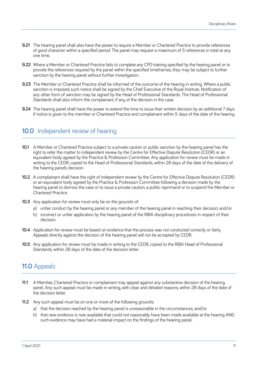- **9.21** The hearing panel shall also have the power to require a Member or Chartered Practice to provide references of good character within a specified period. The panel may request a maximum of 5 references in total at any one time.
- **9.22** Where a Member or Chartered Practice fails to complete any CPD training specified by the hearing panel or to provide the references required by the panel within the specified timeframes, they may be subject to further sanction by the hearing panel without further investigation.
- **9.23** The Member or Chartered Practice shall be informed of the outcome of the hearing in writing. Where a public sanction is imposed, such notice shall be signed by the Chief Executive of the Royal Institute. Notification of any other form of sanction may be signed by the Head of Professional Standards. The Head of Professional Standards shall also inform the complainant, if any, of the decision in the case.
- **9.24** The hearing panel shall have the power to extend the time to issue their written decision by an additional 7 days if notice is given to the member or Chartered Practice and complainant within 5 days of the date of the hearing.

## **10.0** Independent review of hearing

- **10.1** A Member or Chartered Practice subject to a private caution or public sanction by the hearing panel has the right to refer the matter to independent review by the Centre for Effective Dispute Resolution (CEDR) or an equivalent body agreed by the Practice & Profession Committee. Any application for review must be made in writing to the CEDR, copied to the Head of Professional Standards, within 28 days of the date of the delivery of the hearing panel's decision.
- **10.2** A complainant shall have the right of independent review by the Centre for Effective Dispute Resolution (CEDR) or an equivalent body agreed by the Practice & Profession Committee following a decision made by the hearing panel to dismiss the case or to issue a private caution, a public reprimand or to suspend the Member or Chartered Practice.
- **10.3** Any application for review must only be on the grounds of:
	- a) unfair conduct by the hearing panel or any member of the hearing panel in reaching their decision; and/or
	- b) incorrect or unfair application by the hearing panel of the RIBA disciplinary procedures in respect of their decision.
- **10.4** Application for review must be based on evidence that the process was not conducted correctly or fairly. Appeals directly against the decision of the hearing panel will not be accepted by CEDR.
- **10.5** Any application for review must be made in writing to the CEDR, copied to the RIBA Head of Professional Standards, within 28 days of the date of the decision letter.

## **11.0** Appeals

- **11.1** A Member, Chartered Practice or complainant may appeal against any substantive decision of the hearing panel. Any such appeal must be made in writing, with clear and detailed reasons, within 28 days of the date of the decision letter.
- **11.2** Any such appeal must be on one or more of the following grounds:
	- a) that the decision reached by the hearing panel is unreasonable in the circumstances; and/or
	- b) that new evidence is now available that could not reasonably have been made available at the hearing AND such evidence may have had a material impact on the findings of the hearing panel.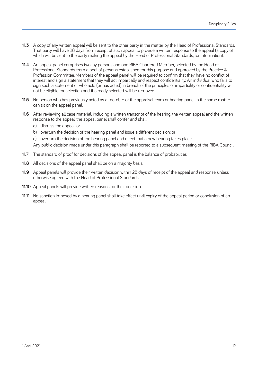- **11.3** A copy of any written appeal will be sent to the other party in the matter by the Head of Professional Standards. That party will have 28 days from receipt of such appeal to provide a written response to the appeal (a copy of which will be sent to the party making the appeal by the Head of Professional Standards, for information).
- **11.4** An appeal panel comprises two lay persons and one RIBA Chartered Member, selected by the Head of Professional Standards from a pool of persons established for this purpose and approved by the Practice & Profession Committee. Members of the appeal panel will be required to confirm that they have no conflict of interest and sign a statement that they will act impartially and respect confidentiality. An individual who fails to sign such a statement or who acts (or has acted) in breach of the principles of impartiality or confidentiality will not be eligible for selection and, if already selected, will be removed.
- **11.5** No person who has previously acted as a member of the appraisal team or hearing panel in the same matter can sit on the appeal panel.
- **11.6** After reviewing all case material, including a written transcript of the hearing, the written appeal and the written response to the appeal, the appeal panel shall confer and shall:
	- a) dismiss the appeal; or
	- b) overturn the decision of the hearing panel and issue a different decision; or
	- c) overturn the decision of the hearing panel and direct that a new hearing takes place.

Any public decision made under this paragraph shall be reported to a subsequent meeting of the RIBA Council.

- **11.7** The standard of proof for decisions of the appeal panel is the balance of probabilities.
- **11.8** All decisions of the appeal panel shall be on a majority basis.
- **11.9** Appeal panels will provide their written decision within 28 days of receipt of the appeal and response, unless otherwise agreed with the Head of Professional Standards.
- **11.10** Appeal panels will provide written reasons for their decision.
- **11.11** No sanction imposed by a hearing panel shall take effect until expiry of the appeal period or conclusion of an appeal.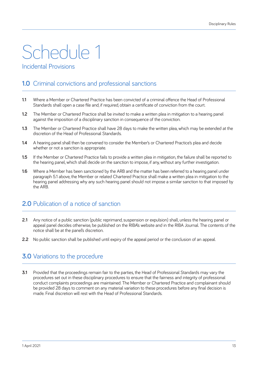## Schedule 1 Incidental Provisions

## **1.0** Criminal convictions and professional sanctions

- **1.1** Where a Member or Chartered Practice has been convicted of a criminal offence the Head of Professional Standards shall open a case file and, if required, obtain a certificate of conviction from the court.
- **1.2** The Member or Chartered Practice shall be invited to make a written plea in mitigation to a hearing panel against the imposition of a disciplinary sanction in consequence of the conviction.
- **1.3** The Member or Chartered Practice shall have 28 days to make the written plea, which may be extended at the discretion of the Head of Professional Standards.
- **1.4** A hearing panel shall then be convened to consider the Member's or Chartered Practice's plea and decide whether or not a sanction is appropriate.
- **1.5** If the Member or Chartered Practice fails to provide a written plea in mitigation, the failure shall be reported to the hearing panel, which shall decide on the sanction to impose, if any, without any further investigation.
- **1.6** Where a Member has been sanctioned by the ARB and the matter has been referred to a hearing panel under paragraph 5.1 above, the Member or related Chartered Practice shall make a written plea in mitigation to the hearing panel addressing why any such hearing panel should not impose a similar sanction to that imposed by the ARB.

## **2.0** Publication of a notice of sanction

- **2.1** Any notice of a public sanction (public reprimand, suspension or expulsion) shall, unless the hearing panel or appeal panel decides otherwise, be published on the RIBA's website and in the RIBA Journal. The contents of the notice shall be at the panel's discretion.
- **2.2** No public sanction shall be published until expiry of the appeal period or the conclusion of an appeal.

## **3.0** Variations to the procedure

**3.1** Provided that the proceedings remain fair to the parties, the Head of Professional Standards may vary the procedures set out in these disciplinary procedures to ensure that the fairness and integrity of professional conduct complaints proceedings are maintained. The Member or Chartered Practice and complainant should be provided 28 days to comment on any material variation to these procedures before any final decision is made. Final discretion will rest with the Head of Professional Standards.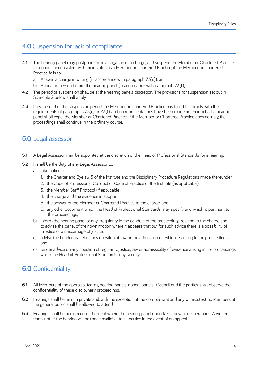## **4.0** Suspension for lack of compliance

- **4.1** The hearing panel may postpone the investigation of a charge, and suspend the Member or Chartered Practice for conduct inconsistent with their status as a Member or Chartered Practice, if the Member or Chartered Practice fails to:
	- a) Answer a charge in writing (in accordance with paragraph 7.3(c)); or
	- b) Appear in person before the hearing panel (in accordance with paragraph 7.3(f)).
- **4.2** The period of suspension shall be at the hearing panel's discretion. The provisions for suspension set out in Schedule 2 below shall apply.
- **4.3** If, by the end of the suspension period, the Member or Chartered Practice has failed to comply with the requirements of paragraphs 7.3(c) or 7.3(f), and no representations have been made on their behalf, a hearing panel shall expel the Member or Chartered Practice. If the Member or Chartered Practice does comply, the proceedings shall continue in the ordinary course.

## **5.0** Legal assessor

- **5.1** A Legal Assessor may be appointed at the discretion of the Head of Professional Standards for a hearing.
- **5.2** It shall be the duty of any Legal Assessor to:
	- a) take notice of :
		- 1. the Charter and Byelaw 5 of the Institute and the Disciplinary Procedure Regulations made thereunder;
		- 2. the Code of Professional Conduct or Code of Practice of the Institute (as applicable);
		- 3. the Member Staff Protocol (if applicable);
		- 4. the charge and the evidence in support;
		- 5. the answer of the Member or Chartered Practice to the charge; and
		- 6. any other document which the Head of Professional Standards may specify and which is pertinent to the proceedings;
	- b) inform the hearing panel of any irregularity in the conduct of the proceedings relating to the charge and to advise the panel of their own motion where it appears that but for such advice there is a possibility of injustice or a miscarriage of justice;
	- c) advise the hearing panel on any question of law or the admission of evidence arising in the proceedings; and
	- d) tender advice on any question of regularity, justice, law or admissibility of evidence arising in the proceedings which the Head of Professional Standards may specify.

## **6.0** Confidentiality

- **6.1** All Members of the appraisal teams, hearing panels, appeal panels, Council and the parties shall observe the confidentiality of these disciplinary proceedings.
- **6.2** Hearings shall be held in private and, with the exception of the complainant and any witness(es), no Members of the general public shall be allowed to attend.
- **6.3** Hearings shall be audio recorded, except where the hearing panel undertakes private deliberations. A written transcript of the hearing will be made available to all parties in the event of an appeal.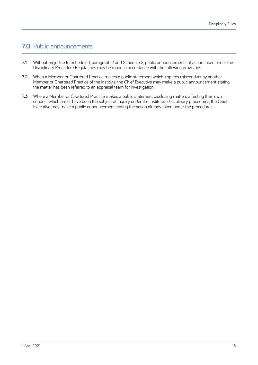## **7.0** Public announcements

- **7.1** Without prejudice to Schedule 1, paragraph 2 and Schedule 2, public announcements of action taken under the Disciplinary Procedure Regulations may be made in accordance with the following provisions:
- **7.2** When a Member or Chartered Practice makes a public statement which imputes misconduct by another Member or Chartered Practice of the Institute, the Chief Executive may make a public announcement stating the matter has been referred to an appraisal team for investigation.
- **7.3** Where a Member or Chartered Practice makes a public statement disclosing matters affecting their own conduct which are or have been the subject of inquiry under the Institute's disciplinary procedures, the Chief Executive may make a public announcement stating the action already taken under the procedures.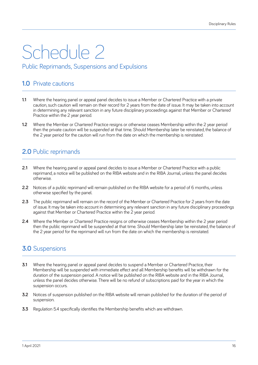## Schedule 2 Public Reprimands, Suspensions and Expulsions

## **1.0** Private cautions

- **1.1** Where the hearing panel or appeal panel decides to issue a Member or Chartered Practice with a private caution, such caution will remain on their record for 2 years from the date of issue. It may be taken into account in determining any relevant sanction in any future disciplinary proceedings against that Member or Chartered Practice within the 2 year period.
- **1.2** Where the Member or Chartered Practice resigns or otherwise ceases Membership within the 2 year period then the private caution will be suspended at that time. Should Membership later be reinstated, the balance of the 2 year period for the caution will run from the date on which the membership is reinstated.

## **2.0** Public reprimands

- **2.1** Where the hearing panel or appeal panel decides to issue a Member or Chartered Practice with a public reprimand, a notice will be published on the RIBA website and in the RIBA Journal, unless the panel decides otherwise.
- **2.2** Notices of a public reprimand will remain published on the RIBA website for a period of 6 months, unless otherwise specified by the panel.
- **2.3** The public reprimand will remain on the record of the Member or Chartered Practice for 2 years from the date of issue. It may be taken into account in determining any relevant sanction in any future disciplinary proceedings against that Member or Chartered Practice within the 2 year period.
- **2.4** Where the Member or Chartered Practice resions or otherwise ceases Membership within the 2 year period then the public reprimand will be suspended at that time. Should Membership later be reinstated, the balance of the 2 year period for the reprimand will run from the date on which the membership is reinstated.

## **3.0** Suspensions

- **3.1** Where the hearing panel or appeal panel decides to suspend a Member or Chartered Practice, their Membership will be suspended with immediate effect and all Membership benefits will be withdrawn for the duration of the suspension period. A notice will be published on the RIBA website and in the RIBA Journal, unless the panel decides otherwise. There will be no refund of subscriptions paid for the year in which the suspension occurs.
- **3.2** Notices of suspension published on the RIBA website will remain published for the duration of the period of suspension.
- **3.3** Regulation 5.4 specifically identifies the Membership benefits which are withdrawn.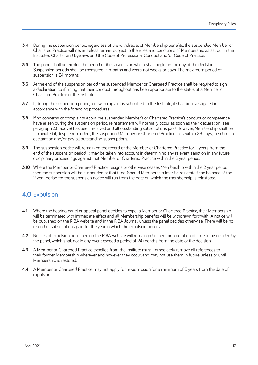- **3.4** During the suspension period, regardless of the withdrawal of Membership benefits, the suspended Member or Chartered Practice will nevertheless remain subject to the rules and conditions of Membership as set out in the Institute's Charter and Byelaws and the Code of Professional Conduct and/or Code of Practice.
- **3.5** The panel shall determine the period of the suspension which shall begin on the day of the decision. Suspension periods shall be measured in months and years, not weeks or days. The maximum period of suspension is 24 months.
- **3.6** At the end of the suspension period, the suspended Member or Chartered Practice shall be required to sign a declaration confirming that their conduct throughout has been appropriate to the status of a Member or Chartered Practice of the Institute.
- **3.7** If, during the suspension period, a new complaint is submitted to the Institute, it shall be investigated in accordance with the foregoing procedures.
- **3.8** If no concerns or complaints about the suspended Member's or Chartered Practice's conduct or competence have arisen during the suspension period, reinstatement will normally occur as soon as their declaration (see paragraph 3.6 above) has been received and all outstanding subscriptions paid. However, Membership shall be terminated if, despite reminders, the suspended Member or Chartered Practice fails, within 28 days, to submit a declaration and/or pay all outstanding subscriptions.
- **3.9** The suspension notice will remain on the record of the Member or Chartered Practice for 2 years from the end of the suspension period. It may be taken into account in determining any relevant sanction in any future disciplinary proceedings against that Member or Chartered Practice within the 2 year period.
- **3.10** Where the Member or Chartered Practice resigns or otherwise ceases Membership within the 2 year period then the suspension will be suspended at that time. Should Membership later be reinstated, the balance of the 2 year period for the suspension notice will run from the date on which the membership is reinstated.

## **4.0** Expulsion

- **4.1** Where the hearing panel or appeal panel decides to expel a Member or Chartered Practice, their Membership will be terminated with immediate effect and all Membership benefits will be withdrawn forthwith. A notice will be published on the RIBA website and in the RIBA Journal, unless the panel decides otherwise. There will be no refund of subscriptions paid for the year in which the expulsion occurs.
- **4.2** Notices of expulsion published on the RIBA website will remain published for a duration of time to be decided by the panel, which shall not in any event exceed a period of 24 months from the date of the decision.
- **4.3** A Member or Chartered Practice expelled from the Institute must immediately remove all references to their former Membership wherever and however they occur, and may not use them in future unless or until Membership is restored.
- **4.4** A Member or Chartered Practice may not apply for re-admission for a minimum of 5 years from the date of expulsion.